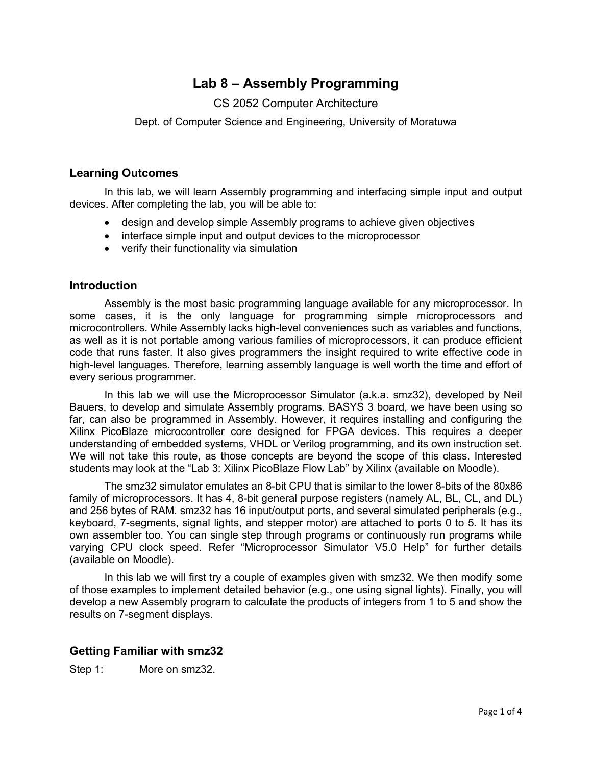# **Lab 8 – Assembly Programming**

# CS 2052 Computer Architecture

Dept. of Computer Science and Engineering, University of Moratuwa

# **Learning Outcomes**

In this lab, we will learn Assembly programming and interfacing simple input and output devices. After completing the lab, you will be able to:

- design and develop simple Assembly programs to achieve given objectives
- interface simple input and output devices to the microprocessor
- verify their functionality via simulation

## **Introduction**

Assembly is the most basic programming language available for any microprocessor. In some cases, it is the only language for programming simple microprocessors and microcontrollers. While Assembly lacks high-level conveniences such as variables and functions, as well as it is not portable among various families of microprocessors, it can produce efficient code that runs faster. It also gives programmers the insight required to write effective code in high-level languages. Therefore, learning assembly language is well worth the time and effort of every serious programmer.

In this lab we will use the Microprocessor Simulator (a.k.a. smz32), developed by Neil Bauers, to develop and simulate Assembly programs. BASYS 3 board, we have been using so far, can also be programmed in Assembly. However, it requires installing and configuring the Xilinx PicoBlaze microcontroller core designed for FPGA devices. This requires a deeper understanding of embedded systems, VHDL or Verilog programming, and its own instruction set. We will not take this route, as those concepts are beyond the scope of this class. Interested students may look at the "Lab 3: Xilinx PicoBlaze Flow Lab" by Xilinx (available on Moodle).

The smz32 simulator emulates an 8-bit CPU that is similar to the lower 8-bits of the 80x86 family of microprocessors. It has 4, 8-bit general purpose registers (namely AL, BL, CL, and DL) and 256 bytes of RAM. smz32 has 16 input/output ports, and several simulated peripherals (e.g., keyboard, 7-segments, signal lights, and stepper motor) are attached to ports 0 to 5. It has its own assembler too. You can single step through programs or continuously run programs while varying CPU clock speed. Refer "Microprocessor Simulator V5.0 Help" for further details (available on Moodle).

In this lab we will first try a couple of examples given with smz32. We then modify some of those examples to implement detailed behavior (e.g., one using signal lights). Finally, you will develop a new Assembly program to calculate the products of integers from 1 to 5 and show the results on 7-segment displays.

# **Getting Familiar with smz32**

Step 1: More on smz32.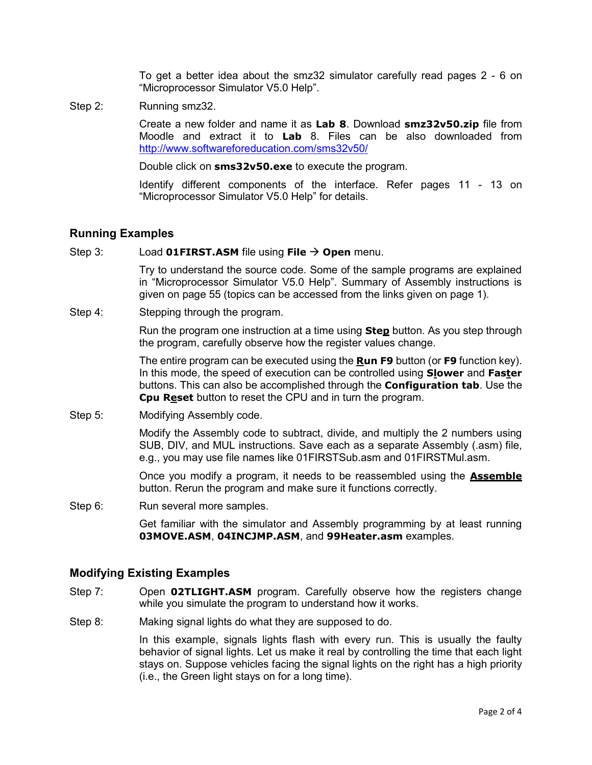To get a better idea about the smz32 simulator carefully read pages 2 - 6 on "Microprocessor Simulator V5.0 Help".

Step 2: Running smz32.

Create a new folder and name it as **Lab 8**. Download **smz32v50.zip** file from Moodle and extract it to **Lab** 8. Files can be also downloaded from <http://www.softwareforeducation.com/sms32v50/>

Double click on **sms32v50.exe** to execute the program.

Identify different components of the interface. Refer pages 11 - 13 on "Microprocessor Simulator V5.0 Help" for details.

## **Running Examples**

#### Step 3: Load **01FIRST.ASM** file using **File** → **Open** menu.

Try to understand the source code. Some of the sample programs are explained in "Microprocessor Simulator V5.0 Help". Summary of Assembly instructions is given on page 55 (topics can be accessed from the links given on page 1).

Step 4: Stepping through the program.

Run the program one instruction at a time using **Step** button. As you step through the program, carefully observe how the register values change.

The entire program can be executed using the **Run F9** button (or **F9** function key). In this mode, the speed of execution can be controlled using **Slower** and **Faster** buttons. This can also be accomplished through the **Configuration tab**. Use the **Cpu Reset** button to reset the CPU and in turn the program.

Step 5: Modifying Assembly code.

Modify the Assembly code to subtract, divide, and multiply the 2 numbers using SUB, DIV, and MUL instructions. Save each as a separate Assembly (.asm) file, e.g., you may use file names like 01FIRSTSub.asm and 01FIRSTMul.asm.

Once you modify a program, it needs to be reassembled using the **Assemble**  button. Rerun the program and make sure it functions correctly.

Step 6: Run several more samples.

Get familiar with the simulator and Assembly programming by at least running **03MOVE.ASM**, **04INCJMP.ASM**, and **99Heater.asm** examples.

## **Modifying Existing Examples**

- Step 7: Open **02TLIGHT.ASM** program. Carefully observe how the registers change while you simulate the program to understand how it works.
- Step 8: Making signal lights do what they are supposed to do.

In this example, signals lights flash with every run. This is usually the faulty behavior of signal lights. Let us make it real by controlling the time that each light stays on. Suppose vehicles facing the signal lights on the right has a high priority (i.e., the Green light stays on for a long time).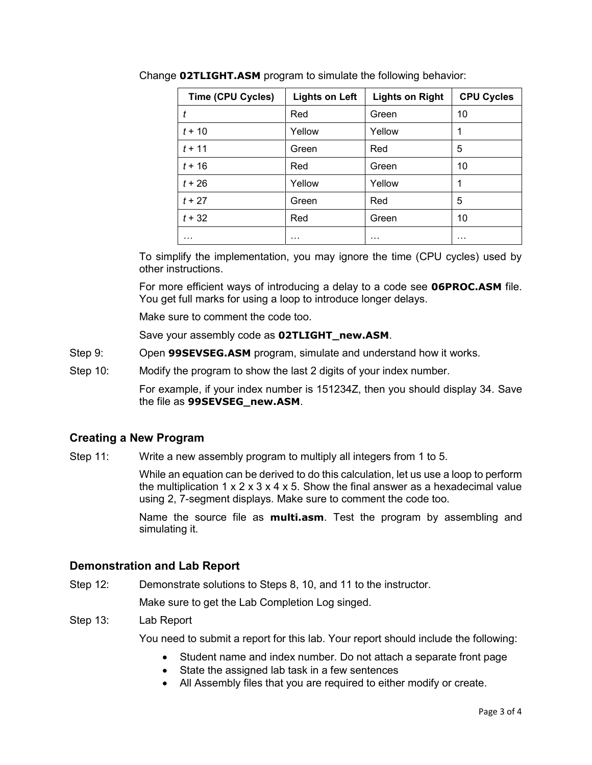| Time (CPU Cycles) | <b>Lights on Left</b> | <b>Lights on Right</b> | <b>CPU Cycles</b> |
|-------------------|-----------------------|------------------------|-------------------|
|                   | Red                   | Green                  | 10                |
| $t + 10$          | Yellow                | Yellow                 | 1                 |
| $t + 11$          | Green                 | Red                    | 5                 |
| $t + 16$          | Red                   | Green                  | 10                |
| $t + 26$          | Yellow                | Yellow                 |                   |
| $t + 27$          | Green                 | Red                    | 5                 |
| $t + 32$          | Red                   | Green                  | 10                |
| .                 | .                     | .                      | .                 |

Change **02TLIGHT.ASM** program to simulate the following behavior:

To simplify the implementation, you may ignore the time (CPU cycles) used by other instructions.

For more efficient ways of introducing a delay to a code see **06PROC.ASM** file. You get full marks for using a loop to introduce longer delays.

Make sure to comment the code too.

Save your assembly code as **02TLIGHT\_new.ASM**.

- Step 9: Open **99SEVSEG.ASM** program, simulate and understand how it works.
- Step 10: Modify the program to show the last 2 digits of your index number.

For example, if your index number is 151234Z, then you should display 34. Save the file as **99SEVSEG\_new.ASM**.

## **Creating a New Program**

Step 11: Write a new assembly program to multiply all integers from 1 to 5.

While an equation can be derived to do this calculation, let us use a loop to perform the multiplication  $1 \times 2 \times 3 \times 4 \times 5$ . Show the final answer as a hexadecimal value using 2, 7-segment displays. Make sure to comment the code too.

Name the source file as **multi.asm**. Test the program by assembling and simulating it.

## **Demonstration and Lab Report**

Step 12: Demonstrate solutions to Steps 8, 10, and 11 to the instructor.

Make sure to get the Lab Completion Log singed.

### Step 13: Lab Report

You need to submit a report for this lab. Your report should include the following:

- Student name and index number. Do not attach a separate front page
- State the assigned lab task in a few sentences
- All Assembly files that you are required to either modify or create.